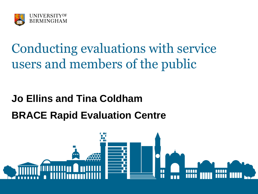

### Conducting evaluations with service users and members of the public

#### **Jo Ellins and Tina Coldham BRACE Rapid Evaluation Centre**

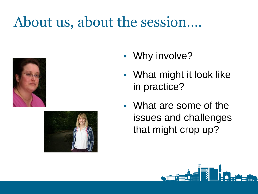## About us, about the session….





- Why involve?
- **What might it look like** in practice?
- What are some of the issues and challenges that might crop up?

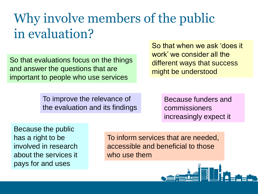### Why involve members of the public in evaluation?

So that evaluations focus on the things and answer the questions that are important to people who use services

So that when we ask 'does it work' we consider all the different ways that success might be understood

To improve the relevance of the evaluation and its findings Because funders and commissioners increasingly expect it

Because the public has a right to be involved in research about the services it pays for and uses

To inform services that are needed, accessible and beneficial to those who use them

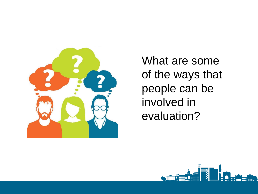

What are some of the ways that people can be involved in evaluation?

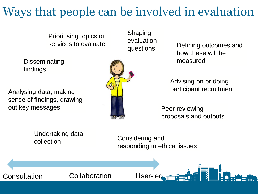#### Ways that people can be involved in evaluation

Prioritising topics or services to evaluate

Disseminating findings

Analysing data, making sense of findings, drawing out key messages



Shaping evaluation

questions Defining outcomes and how these will be measured

> Advising on or doing participant recruitment

Peer reviewing proposals and outputs

Considering and responding to ethical issues Undertaking data collection Consultation Collaboration User-led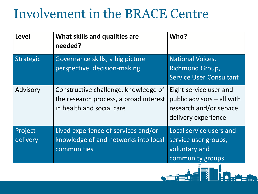#### Involvement in the BRACE Centre

| Level               | What skills and qualities are<br>needed?                                                                    | Who?                                                                                                     |
|---------------------|-------------------------------------------------------------------------------------------------------------|----------------------------------------------------------------------------------------------------------|
| Strategic           | Governance skills, a big picture<br>perspective, decision-making                                            | <b>National Voices,</b><br>Richmond Group,<br><b>Service User Consultant</b>                             |
| Advisory            | Constructive challenge, knowledge of<br>the research process, a broad interest<br>in health and social care | Eight service user and<br>public advisors $-$ all with<br>research and/or service<br>delivery experience |
| Project<br>delivery | Lived experience of services and/or<br>knowledge of and networks into local<br>communities                  | Local service users and<br>service user groups,<br>voluntary and<br>community groups                     |
|                     |                                                                                                             |                                                                                                          |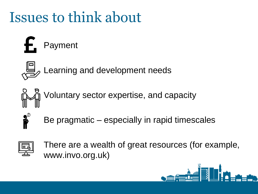## Issues to think about





Learning and development needs



Voluntary sector expertise, and capacity



Be pragmatic – especially in rapid timescales



There are a wealth of great resources (for example, www.invo.org.uk)